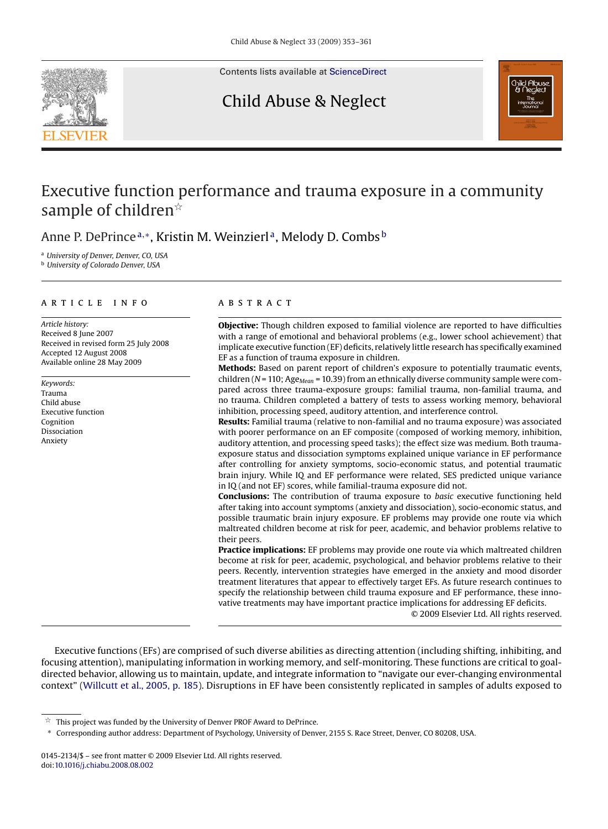

Contents lists available at [ScienceDirect](http://www.sciencedirect.com/science/journal/01452134)

# Child Abuse & Neglect



# Executive function performance and trauma exposure in a community sample of children $\mathbb{\hat{}}$

Anne P. DePrince<sup>a,∗</sup>, Kristin M. Weinzierl<sup>a</sup>, Melody D. Combs<sup>b</sup>

<sup>a</sup> *University of Denver, Denver, CO, USA*

<sup>b</sup> *University of Colorado Denver, USA*

## article info

*Article history:* Received 8 June 2007 Received in revised form 25 July 2008 Accepted 12 August 2008 Available online 28 May 2009

*Keywords:* Trauma Child abuse Executive function Cognition Dissociation Anxiety

## **ABSTRACT**

**Objective:** Though children exposed to familial violence are reported to have difficulties with a range of emotional and behavioral problems (e.g., lower school achievement) that implicate executive function (EF) deficits, relatively little research has specifically examined EF as a function of trauma exposure in children.

**Methods:** Based on parent report of children's exposure to potentially traumatic events, children (*N* = 110; Age*Mean* = 10.39) from an ethnically diverse community sample were compared across three trauma-exposure groups: familial trauma, non-familial trauma, and no trauma. Children completed a battery of tests to assess working memory, behavioral inhibition, processing speed, auditory attention, and interference control.

**Results:** Familial trauma (relative to non-familial and no trauma exposure) was associated with poorer performance on an EF composite (composed of working memory, inhibition, auditory attention, and processing speed tasks); the effect size was medium. Both traumaexposure status and dissociation symptoms explained unique variance in EF performance after controlling for anxiety symptoms, socio-economic status, and potential traumatic brain injury. While IQ and EF performance were related, SES predicted unique variance in IQ (and not EF) scores, while familial-trauma exposure did not.

**Conclusions:** The contribution of trauma exposure to *basic* executive functioning held after taking into account symptoms (anxiety and dissociation), socio-economic status, and possible traumatic brain injury exposure. EF problems may provide one route via which maltreated children become at risk for peer, academic, and behavior problems relative to their peers.

**Practice implications:** EF problems may provide one route via which maltreated children become at risk for peer, academic, psychological, and behavior problems relative to their peers. Recently, intervention strategies have emerged in the anxiety and mood disorder treatment literatures that appear to effectively target EFs. As future research continues to specify the relationship between child trauma exposure and EF performance, these innovative treatments may have important practice implications for addressing EF deficits.

© 2009 Elsevier Ltd. All rights reserved.

Executive functions (EFs) are comprised of such diverse abilities as directing attention (including shifting, inhibiting, and focusing attention), manipulating information in working memory, and self-monitoring. These functions are critical to goaldirected behavior, allowing us to maintain, update, and integrate information to "navigate our ever-changing environmental context" ([Willcutt et al., 2005, p. 185\).](#page-8-0) Disruptions in EF have been consistently replicated in samples of adults exposed to

 $\overline{\mathbb{X}}$  This project was funded by the University of Denver PROF Award to DePrince.

<sup>∗</sup> Corresponding author address: Department of Psychology, University of Denver, 2155 S. Race Street, Denver, CO 80208, USA.

<sup>0145-2134/\$ –</sup> see front matter © 2009 Elsevier Ltd. All rights reserved. doi:[10.1016/j.chiabu.2008.08.002](dx.doi.org/10.1016/j.chiabu.2008.08.002)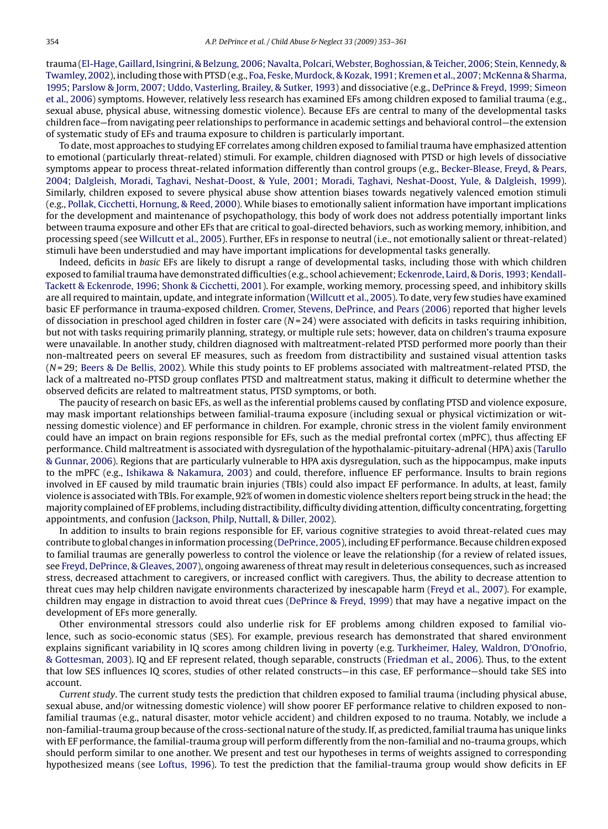trauma (El-Hage, Gaillard, Isingrini, & Belzung, 2006; Navalta, Polcari, Webster. Boghossian. & Teicher. 2006: Stein. Kennedy. & [Twamley, 2002\),](#page-7-0) including those with PTSD (e.g., [Foa, Feske, Murdock, & Kozak, 1991; Kremen et al., 2007; McKenna & Sharma,](#page-8-0) [1995; Parslow & Jorm, 2007; Uddo, Vasterling, Brailey, & Sutker, 1993\) a](#page-8-0)nd dissociative (e.g., [DePrince & Freyd, 1999; Simeon](#page-7-0) [et al., 2006\) s](#page-7-0)ymptoms. However, relatively less research has examined EFs among children exposed to familial trauma (e.g., sexual abuse, physical abuse, witnessing domestic violence). Because EFs are central to many of the developmental tasks children face—from navigating peer relationships to performance in academic settings and behavioral control—the extension of systematic study of EFs and trauma exposure to children is particularly important.

To date, most approaches to studying EF correlates among children exposed to familial trauma have emphasized attention to emotional (particularly threat-related) stimuli. For example, children diagnosed with PTSD or high levels of dissociative symptoms appear to process threat-related information differently than control groups (e.g., [Becker-Blease, Freyd, & Pears,](#page-7-0) [2004; Dalgleish, Moradi, Taghavi, Neshat-Doost, & Yule, 2001; Moradi, Taghavi, Neshat-Doost, Yule, & Dalgleish, 1999\).](#page-7-0) Similarly, children exposed to severe physical abuse show attention biases towards negatively valenced emotion stimuli (e.g., [Pollak, Cicchetti, Hornung, & Reed, 2000\).](#page-8-0) While biases to emotionally salient information have important implications for the development and maintenance of psychopathology, this body of work does not address potentially important links between trauma exposure and other EFs that are critical to goal-directed behaviors, such as working memory, inhibition, and processing speed (see [Willcutt et al., 2005\).](#page-8-0) Further, EFs in response to neutral (i.e., not emotionally salient or threat-related) stimuli have been understudied and may have important implications for developmental tasks generally.

Indeed, deficits in *basic* EFs are likely to disrupt a range of developmental tasks, including those with which children exposed to familial trauma have demonstrated difficulties (e.g., school achievement; [Eckenrode, Laird, & Doris, 1993; Kendall-](#page-7-0)Tackett [& Eckenrode, 1996; Shonk & Cicchetti, 2001\).](#page-7-0) For example, working memory, processing speed, and inhibitory skills are all required to maintain, update, and integrate information [\(Willcutt et al., 2005\).](#page-8-0) To date, very few studies have examined basic EF performance in trauma-exposed children. [Cromer, Stevens, DePrince, and Pears \(2006\)](#page-7-0) reported that higher levels of dissociation in preschool aged children in foster care (*N* = 24) were associated with deficits in tasks requiring inhibition, but not with tasks requiring primarily planning, strategy, or multiple rule sets; however, data on children's trauma exposure were unavailable. In another study, children diagnosed with maltreatment-related PTSD performed more poorly than their non-maltreated peers on several EF measures, such as freedom from distractibility and sustained visual attention tasks (*N* = 29; [Beers & De Bellis, 2002\).](#page-7-0) While this study points to EF problems associated with maltreatment-related PTSD, the lack of a maltreated no-PTSD group conflates PTSD and maltreatment status, making it difficult to determine whether the observed deficits are related to maltreatment status, PTSD symptoms, or both.

The paucity of research on basic EFs, as well as the inferential problems caused by conflating PTSD and violence exposure, may mask important relationships between familial-trauma exposure (including sexual or physical victimization or witnessing domestic violence) and EF performance in children. For example, chronic stress in the violent family environment could have an impact on brain regions responsible for EFs, such as the medial prefrontal cortex (mPFC), thus affecting EF performance. Child maltreatment is associated with dysregulation of the hypothalamic-pituitary-adrenal (HPA) axis [\(Tarullo](#page-8-0) [& Gunnar, 2006\).](#page-8-0) Regions that are particularly vulnerable to HPA axis dysregulation, such as the hippocampus, make inputs to the mPFC (e.g., [Ishikawa & Nakamura, 2003\)](#page-8-0) and could, therefore, influence EF performance. Insults to brain regions involved in EF caused by mild traumatic brain injuries (TBIs) could also impact EF performance. In adults, at least, family violence is associated with TBIs. For example, 92% of women in domestic violence shelters report being struck in the head; the majority complained of EF problems, including distractibility, difficulty dividing attention, difficulty concentrating, forgetting appointments, and confusion [\(Jackson, Philp, Nuttall, & Diller, 2002\).](#page-8-0)

In addition to insults to brain regions responsible for EF, various cognitive strategies to avoid threat-related cues may contribute to global changes in information processing ([DePrince, 2005\),](#page-7-0) including EF performance. Because children exposed to familial traumas are generally powerless to control the violence or leave the relationship (for a review of related issues, see [Freyd, DePrince, & Gleaves, 2007\),](#page-8-0) ongoing awareness of threat may result in deleterious consequences, such as increased stress, decreased attachment to caregivers, or increased conflict with caregivers. Thus, the ability to decrease attention to threat cues may help children navigate environments characterized by inescapable harm ([Freyd et al., 2007\).](#page-8-0) For example, children may engage in distraction to avoid threat cues [\(DePrince & Freyd, 1999\)](#page-7-0) that may have a negative impact on the development of EFs more generally.

Other environmental stressors could also underlie risk for EF problems among children exposed to familial violence, such as socio-economic status (SES). For example, previous research has demonstrated that shared environment explains significant variability in IQ scores among children living in poverty (e.g. [Turkheimer, Haley, Waldron, D'Onofrio,](#page-8-0) [& Gottesman, 2003\).](#page-8-0) IQ and EF represent related, though separable, constructs ([Friedman et al., 2006\).](#page-8-0) Thus, to the extent that low SES influences IQ scores, studies of other related constructs—in this case, EF performance—should take SES into account.

*Current study*. The current study tests the prediction that children exposed to familial trauma (including physical abuse, sexual abuse, and/or witnessing domestic violence) will show poorer EF performance relative to children exposed to nonfamilial traumas (e.g., natural disaster, motor vehicle accident) and children exposed to no trauma. Notably, we include a non-familial-trauma group because of the cross-sectional nature of the study. If, as predicted, familial trauma has unique links with EF performance, the familial-trauma group will perform differently from the non-familial and no-trauma groups, which should perform similar to one another. We present and test our hypotheses in terms of weights assigned to corresponding hypothesized means (see [Loftus, 1996\).](#page-8-0) To test the prediction that the familial-trauma group would show deficits in EF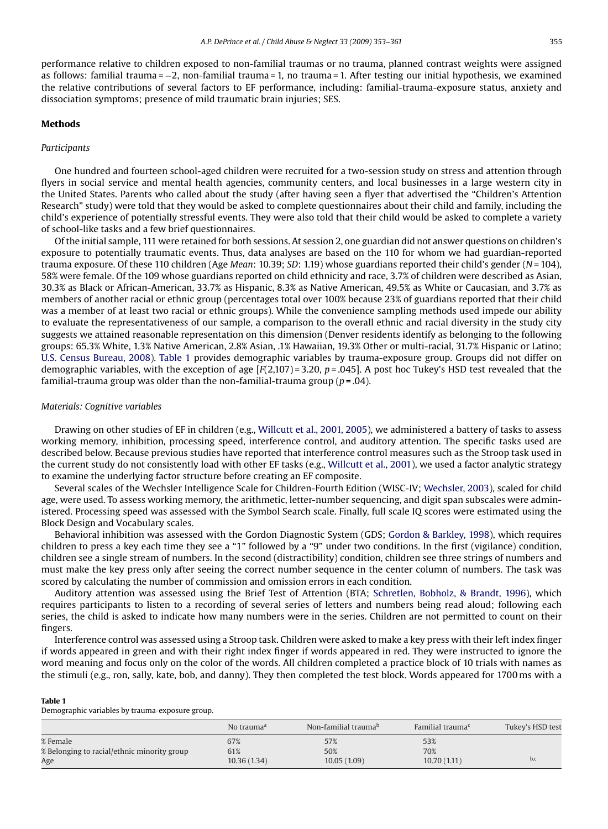performance relative to children exposed to non-familial traumas or no trauma, planned contrast weights were assigned as follows: familial trauma = −2, non-familial trauma = 1, no trauma = 1. After testing our initial hypothesis, we examined the relative contributions of several factors to EF performance, including: familial-trauma-exposure status, anxiety and dissociation symptoms; presence of mild traumatic brain injuries; SES.

## **Methods**

## *Participants*

One hundred and fourteen school-aged children were recruited for a two-session study on stress and attention through flyers in social service and mental health agencies, community centers, and local businesses in a large western city in the United States. Parents who called about the study (after having seen a flyer that advertised the "Children's Attention Research" study) were told that they would be asked to complete questionnaires about their child and family, including the child's experience of potentially stressful events. They were also told that their child would be asked to complete a variety of school-like tasks and a few brief questionnaires.

Of the initial sample, 111 were retained for both sessions. At session 2, one guardian did not answer questions on children's exposure to potentially traumatic events. Thus, data analyses are based on the 110 for whom we had guardian-reported trauma exposure. Of these 110 children (Age *Mean*: 10.39; *SD*: 1.19) whose guardians reported their child's gender (*N* = 104), 58% were female. Of the 109 whose guardians reported on child ethnicity and race, 3.7% of children were described as Asian, 30.3% as Black or African-American, 33.7% as Hispanic, 8.3% as Native American, 49.5% as White or Caucasian, and 3.7% as members of another racial or ethnic group (percentages total over 100% because 23% of guardians reported that their child was a member of at least two racial or ethnic groups). While the convenience sampling methods used impede our ability to evaluate the representativeness of our sample, a comparison to the overall ethnic and racial diversity in the study city suggests we attained reasonable representation on this dimension (Denver residents identify as belonging to the following groups: 65.3% White, 1.3% Native American, 2.8% Asian, .1% Hawaiian, 19.3% Other or multi-racial, 31.7% Hispanic or Latino; [U.S. Census Bureau, 2008\).](#page-8-0) Table 1 provides demographic variables by trauma-exposure group. Groups did not differ on demographic variables, with the exception of age [*F*(2,107) = 3.20, *p* = .045]. A post hoc Tukey's HSD test revealed that the familial-trauma group was older than the non-familial-trauma group (*p* = .04).

## *Materials: Cognitive variables*

Drawing on other studies of EF in children (e.g., [Willcutt et al., 2001, 2005\),](#page-8-0) we administered a battery of tasks to assess working memory, inhibition, processing speed, interference control, and auditory attention. The specific tasks used are described below. Because previous studies have reported that interference control measures such as the Stroop task used in the current study do not consistently load with other EF tasks (e.g., [Willcutt et al., 2001\),](#page-8-0) we used a factor analytic strategy to examine the underlying factor structure before creating an EF composite.

Several scales of the Wechsler Intelligence Scale for Children-Fourth Edition (WISC-IV; [Wechsler, 2003\),](#page-8-0) scaled for child age, were used. To assess working memory, the arithmetic, letter-number sequencing, and digit span subscales were administered. Processing speed was assessed with the Symbol Search scale. Finally, full scale IQ scores were estimated using the Block Design and Vocabulary scales.

Behavioral inhibition was assessed with the Gordon Diagnostic System (GDS; [Gordon & Barkley, 1998\),](#page-8-0) which requires children to press a key each time they see a "1" followed by a "9" under two conditions. In the first (vigilance) condition, children see a single stream of numbers. In the second (distractibility) condition, children see three strings of numbers and must make the key press only after seeing the correct number sequence in the center column of numbers. The task was scored by calculating the number of commission and omission errors in each condition.

Auditory attention was assessed using the Brief Test of Attention (BTA; [Schretlen, Bobholz, & Brandt, 1996\),](#page-8-0) which requires participants to listen to a recording of several series of letters and numbers being read aloud; following each series, the child is asked to indicate how many numbers were in the series. Children are not permitted to count on their fingers.

Interference control was assessed using a Stroop task. Children were asked to make a key press with their left index finger if words appeared in green and with their right index finger if words appeared in red. They were instructed to ignore the word meaning and focus only on the color of the words. All children completed a practice block of 10 trials with names as the stimuli (e.g., ron, sally, kate, bob, and danny). They then completed the test block. Words appeared for 1700 ms with a

#### **Table 1**

Demographic variables by trauma-exposure group.

|                                             | No trauma <sup>a</sup> | Non-familial trauma <sup>b</sup> | Familial trauma <sup>c</sup> | Tukey's HSD test |
|---------------------------------------------|------------------------|----------------------------------|------------------------------|------------------|
| % Female                                    | 67%                    | 57%                              | 53%                          |                  |
| % Belonging to racial/ethnic minority group | 61%                    | 50%                              | 70%                          |                  |
| Age                                         | 10.36(1.34)            | 10.05(1.09)                      | 10.70(1.11)                  | b,c              |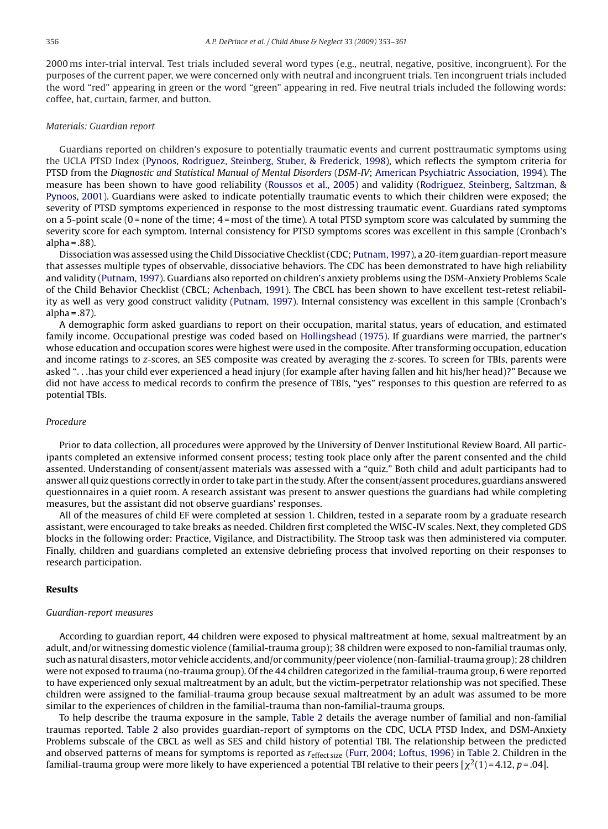2000 ms inter-trial interval. Test trials included several word types (e.g., neutral, negative, positive, incongruent). For the purposes of the current paper, we were concerned only with neutral and incongruent trials. Ten incongruent trials included the word "red" appearing in green or the word "green" appearing in red. Five neutral trials included the following words: coffee, hat, curtain, farmer, and button.

## *Materials: Guardian report*

Guardians reported on children's exposure to potentially traumatic events and current posttraumatic symptoms using the UCLA PTSD Index ([Pynoos, Rodriguez, Steinberg, Stuber, & Frederick, 1998\),](#page-8-0) which reflects the symptom criteria for PTSD from the *Diagnostic and Statistical Manual of Mental Disorders* (*DSM-IV*; [American Psychiatric Association, 1994\).](#page-7-0) The measure has been shown to have good reliability [\(Roussos et al., 2005\)](#page-8-0) and validity [\(Rodriguez, Steinberg, Saltzman, &](#page-8-0) [Pynoos, 2001\).](#page-8-0) Guardians were asked to indicate potentially traumatic events to which their children were exposed; the severity of PTSD symptoms experienced in response to the most distressing traumatic event. Guardians rated symptoms on a 5-point scale (0 = none of the time; 4 = most of the time). A total PTSD symptom score was calculated by summing the severity score for each symptom. Internal consistency for PTSD symptoms scores was excellent in this sample (Cronbach's alpha  $= .88$ ).

Dissociation was assessed using the Child Dissociative Checklist (CDC; [Putnam, 1997\),](#page-8-0) a 20-item guardian-report measure that assesses multiple types of observable, dissociative behaviors. The CDC has been demonstrated to have high reliability and validity ([Putnam, 1997\).](#page-8-0) Guardians also reported on children's anxiety problems using the DSM-Anxiety Problems Scale of the Child Behavior Checklist (CBCL; [Achenbach, 1991\).](#page-7-0) The CBCL has been shown to have excellent test-retest reliability as well as very good construct validity [\(Putnam, 1997\).](#page-8-0) Internal consistency was excellent in this sample (Cronbach's  $alpha = .87$ ).

A demographic form asked guardians to report on their occupation, marital status, years of education, and estimated family income. Occupational prestige was coded based on [Hollingshead \(1975\). I](#page-8-0)f guardians were married, the partner's whose education and occupation scores were highest were used in the composite. After transforming occupation, education and income ratings to *z*-scores, an SES composite was created by averaging the *z*-scores. To screen for TBIs, parents were asked "...has your child ever experienced a head injury (for example after having fallen and hit his/her head)?" Because we did not have access to medical records to confirm the presence of TBIs, "yes" responses to this question are referred to as potential TBIs.

## *Procedure*

Prior to data collection, all procedures were approved by the University of Denver Institutional Review Board. All participants completed an extensive informed consent process; testing took place only after the parent consented and the child assented. Understanding of consent/assent materials was assessed with a "quiz." Both child and adult participants had to answer all quiz questions correctly in order to take part in the study. After the consent/assent procedures, guardians answered questionnaires in a quiet room. A research assistant was present to answer questions the guardians had while completing measures, but the assistant did not observe guardians' responses.

All of the measures of child EF were completed at session 1. Children, tested in a separate room by a graduate research assistant, were encouraged to take breaks as needed. Children first completed the WISC-IV scales. Next, they completed GDS blocks in the following order: Practice, Vigilance, and Distractibility. The Stroop task was then administered via computer. Finally, children and guardians completed an extensive debriefing process that involved reporting on their responses to research participation.

## **Results**

### *Guardian-report measures*

According to guardian report, 44 children were exposed to physical maltreatment at home, sexual maltreatment by an adult, and/or witnessing domestic violence (familial-trauma group); 38 children were exposed to non-familial traumas only, such as natural disasters, motor vehicle accidents, and/or community/peer violence (non-familial-trauma group); 28 children were not exposed to trauma (no-trauma group). Of the 44 children categorized in the familial-trauma group, 6 were reported to have experienced only sexual maltreatment by an adult, but the victim-perpetrator relationship was not specified. These children were assigned to the familial-trauma group because sexual maltreatment by an adult was assumed to be more similar to the experiences of children in the familial-trauma than non-familial-trauma groups.

To help describe the trauma exposure in the sample, [Table 2](#page-4-0) details the average number of familial and non-familial traumas reported. [Table 2](#page-4-0) also provides guardian-report of symptoms on the CDC, UCLA PTSD Index, and DSM-Anxiety Problems subscale of the CBCL as well as SES and child history of potential TBI. The relationship between the predicted and observed patterns of means for symptoms is reported as r<sub>effect size</sub> ([Furr, 2004; Loftus, 1996\) i](#page-8-0)n [Table 2. C](#page-4-0)hildren in the familial-trauma group were more likely to have experienced a potential TBI relative to their peers  $[\chi^2(1)$  = 4.12, p = .04].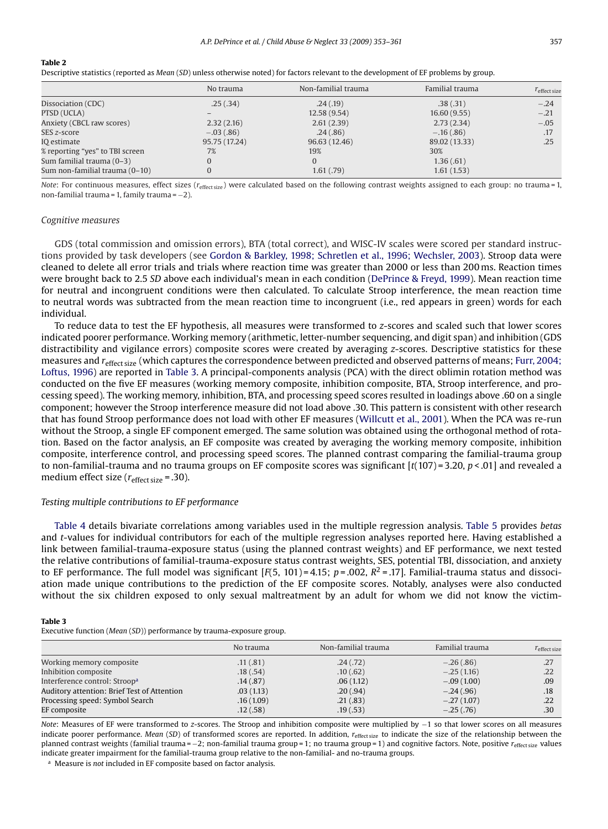#### <span id="page-4-0"></span>**Table 2**

Descriptive statistics (reported as *Mean* (*SD*) unless otherwise noted) for factors relevant to the development of EF problems by group.

|                                 | No trauma     | Non-familial trauma | Familial trauma | $r_{\text{effect size}}$ |
|---------------------------------|---------------|---------------------|-----------------|--------------------------|
| Dissociation (CDC)              | .25(.34)      | .24(.19)            | .38(.31)        | $-.24$                   |
| PTSD (UCLA)                     |               | 12.58(9.54)         | 16.60(9.55)     | $-.21$                   |
| Anxiety (CBCL raw scores)       | 2.32(2.16)    | 2.61(2.39)          | 2.73(2.34)      | $-.05$                   |
| SES z-score                     | $-.03(.86)$   | .24(.86)            | $-.16(.86)$     | .17                      |
| IQ estimate                     | 95.75 (17.24) | 96.63 (12.46)       | 89.02 (13.33)   | .25                      |
| % reporting "yes" to TBI screen | 7%            | 19%                 | 30%             |                          |
| Sum familial trauma (0-3)       |               |                     | 1.36(.61)       |                          |
| Sum non-familial trauma (0-10)  | $\Omega$      | 1.61(.79)           | 1.61(1.53)      |                          |

*Note*: For continuous measures, effect sizes (*r<sub>effect size*) were calculated based on the following contrast weights assigned to each group: no trauma = 1,</sub> non-familial trauma = 1, family trauma = −2).

#### *Cognitive measures*

GDS (total commission and omission errors), BTA (total correct), and WISC-IV scales were scored per standard instructions provided by task developers (see [Gordon & Barkley, 1998; Schretlen et al., 1996; Wechsler, 2003\).](#page-8-0) Stroop data were cleaned to delete all error trials and trials where reaction time was greater than 2000 or less than 200 ms. Reaction times were brought back to 2.5 *SD* above each individual's mean in each condition ([DePrince & Freyd, 1999\).](#page-7-0) Mean reaction time for neutral and incongruent conditions were then calculated. To calculate Stroop interference, the mean reaction time to neutral words was subtracted from the mean reaction time to incongruent (i.e., red appears in green) words for each individual.

To reduce data to test the EF hypothesis, all measures were transformed to *z*-scores and scaled such that lower scores indicated poorer performance. Working memory (arithmetic, letter-number sequencing, and digit span) and inhibition (GDS distractibility and vigilance errors) composite scores were created by averaging *z*-scores. Descriptive statistics for these measures and *r*<sub>effect size</sub> (which captures the correspondence between predicted and observed patterns of means; [Furr, 2004;](#page-8-0) [Loftus, 1996\)](#page-8-0) are reported in Table 3. A principal-components analysis (PCA) with the direct oblimin rotation method was conducted on the five EF measures (working memory composite, inhibition composite, BTA, Stroop interference, and processing speed). The working memory, inhibition, BTA, and processing speed scores resulted in loadings above .60 on a single component; however the Stroop interference measure did not load above .30. This pattern is consistent with other research that has found Stroop performance does not load with other EF measures ([Willcutt et al., 2001\).](#page-8-0) When the PCA was re-run without the Stroop, a single EF component emerged. The same solution was obtained using the orthogonal method of rotation. Based on the factor analysis, an EF composite was created by averaging the working memory composite, inhibition composite, interference control, and processing speed scores. The planned contrast comparing the familial-trauma group to non-familial-trauma and no trauma groups on EF composite scores was significant [*t*(107) = 3.20, *p* < .01] and revealed a medium effect size (*r*effect size = .30).

## *Testing multiple contributions to EF performance*

[Table 4](#page-5-0) details bivariate correlations among variables used in the multiple regression analysis. [Table 5](#page-5-0) provides *betas* and *t*-values for individual contributors for each of the multiple regression analyses reported here. Having established a link between familial-trauma-exposure status (using the planned contrast weights) and EF performance, we next tested the relative contributions of familial-trauma-exposure status contrast weights, SES, potential TBI, dissociation, and anxiety to EF performance. The full model was significant  $[F(5, 101) = 4.15; p = .002, R^2 = .17]$ . Familial-trauma status and dissociation made unique contributions to the prediction of the EF composite scores. Notably, analyses were also conducted without the six children exposed to only sexual maltreatment by an adult for whom we did not know the victim-

#### **Table 3**

Executive function (*Mean* (*SD*)) performance by trauma-exposure group.

|                                             | No trauma | Non-familial trauma | Familial trauma | T <sub>effect size</sub> |
|---------------------------------------------|-----------|---------------------|-----------------|--------------------------|
| Working memory composite                    | .11(.81)  | .24(.72)            | $-.26(.86)$     | .27                      |
| Inhibition composite                        | .18(.54)  | .10(.62)            | $-.25(1.16)$    | .22                      |
| Interference control: Stroop <sup>a</sup>   | .14(.87)  | .06(1.12)           | $-.09(1.00)$    | .09                      |
| Auditory attention: Brief Test of Attention | .03(1.13) | .20(.94)            | $-.24(.96)$     | .18                      |
| Processing speed: Symbol Search             | .16(1.09) | .21(.83)            | $-.27(1.07)$    | .22                      |
| EF composite                                | .12(.58)  | .19(.53)            | $-.25(.76)$     | .30                      |

*Note*: Measures of EF were transformed to *z*-scores. The Stroop and inhibition composite were multiplied by −1 so that lower scores on all measures indicate poorer performance. *Mean* (SD) of transformed scores are reported. In addition,  $r_{\text{effective}}$  to indicate the size of the relationship between the planned contrast weights (familial trauma = −2; non-familial trauma group = 1; no trauma group = 1) and cognitive factors. Note, positive *r*<sub>effect size</sub> values indicate greater impairment for the familial-trauma group relative to the non-familial- and no-trauma groups.

<sup>a</sup> Measure is *not* included in EF composite based on factor analysis.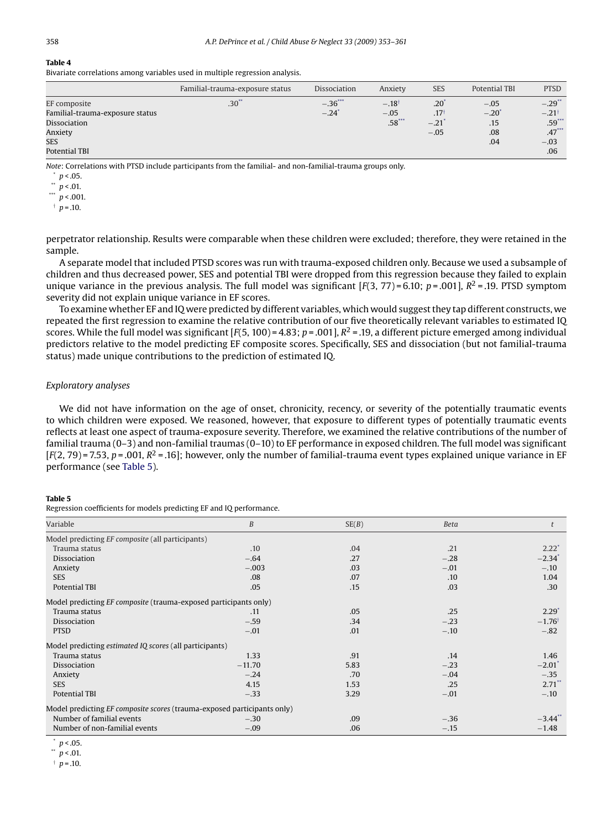## <span id="page-5-0"></span>**Table 4**

Bivariate correlations among variables used in multiple regression analysis.

|                                 | Familial-trauma-exposure status | Dissociation | Anxiety          | <b>SES</b>      | Potential TBI    | <b>PTSD</b>          |
|---------------------------------|---------------------------------|--------------|------------------|-----------------|------------------|----------------------|
| EF composite                    | $.30^{**}$                      | $-.36***$    | $-.18^{\dagger}$ | $.20^{\degree}$ | $-.05$           | $-.29$ <sup>**</sup> |
| Familial-trauma-exposure status |                                 | $-.24$       | $-.05$           | $.17^{\dagger}$ | $-.20^{\degree}$ | $-.21†$              |
| Dissociation                    |                                 |              | $.58***$         | $-.21$          | .15              | $.59***$             |
| Anxiety                         |                                 |              |                  | $-.05$          | .08              | $.47***$             |
| <b>SES</b>                      |                                 |              |                  |                 | .04              | $-.03$               |
| Potential TBI                   |                                 |              |                  |                 |                  | .06                  |
|                                 |                                 |              |                  |                 |                  |                      |

*Note*: Correlations with PTSD include participants from the familial- and non-familial-trauma groups only.

\* *p* < .05.

\*\* *p* < .01.

\*\*\*  $\int$ <sup>r</sup>  $p$  < .001.

 $\uparrow$  *p* = .10.

perpetrator relationship. Results were comparable when these children were excluded; therefore, they were retained in the sample.

A separate model that included PTSD scores was run with trauma-exposed children only. Because we used a subsample of children and thus decreased power, SES and potential TBI were dropped from this regression because they failed to explain unique variance in the previous analysis. The full model was significant  $[F(3, 77) = 6.10; p = .001]$ ,  $R^2 = .19$ . PTSD symptom severity did not explain unique variance in EF scores.

To examine whether EF and IQ were predicted by different variables, which would suggest they tap different constructs, we repeated the first regression to examine the relative contribution of our five theoretically relevant variables to estimated IQ scores. While the full model was significant  $[F(5, 100) = 4.83; p = .001]$ ,  $R^2 = .19$ , a different picture emerged among individual predictors relative to the model predicting EF composite scores. Specifically, SES and dissociation (but not familial-trauma status) made unique contributions to the prediction of estimated IQ.

## *Exploratory analyses*

We did not have information on the age of onset, chronicity, recency, or severity of the potentially traumatic events to which children were exposed. We reasoned, however, that exposure to different types of potentially traumatic events reflects at least one aspect of trauma-exposure severity. Therefore, we examined the relative contributions of the number of familial trauma (0–3) and non-familial traumas (0–10) to EF performance in exposed children. The full model was significant  $[F(2, 79) = 7.53, p = .001, R<sup>2</sup> = .16]$ ; however, only the number of familial-trauma event types explained unique variance in EF performance (see Table 5).

## **Table 5**

Regression coefficients for models predicting EF and IQ performance.

| Variable                                                                | $\overline{B}$ | SE(B) | Beta   |                       |  |
|-------------------------------------------------------------------------|----------------|-------|--------|-----------------------|--|
| Model predicting EF composite (all participants)                        |                |       |        |                       |  |
| Trauma status                                                           | .10            | .04   | .21    | $2.22^*$              |  |
| Dissociation                                                            | $-.64$         | .27   | $-.28$ | $-2.34$ <sup>*</sup>  |  |
| Anxiety                                                                 | $-.003$        | .03   | $-.01$ | $-.10$                |  |
| <b>SES</b>                                                              | .08            | .07   | .10    | 1.04                  |  |
| Potential TBI                                                           | .05            | .15   | .03    | .30                   |  |
| Model predicting EF composite (trauma-exposed participants only)        |                |       |        |                       |  |
| Trauma status                                                           | .11            | .05   | .25    | $2.29*$               |  |
| Dissociation                                                            | $-.59$         | .34   | $-.23$ | $-1.76^{\dagger}$     |  |
| <b>PTSD</b>                                                             | $-.01$         | .01   | $-.10$ | $-.82$                |  |
| Model predicting estimated IQ scores (all participants)                 |                |       |        |                       |  |
| Trauma status                                                           | 1.33           | .91   | .14    | 1.46                  |  |
| Dissociation                                                            | $-11.70$       | 5.83  | $-.23$ | $-2.01$ <sup>*</sup>  |  |
| Anxiety                                                                 | $-.24$         | .70   | $-.04$ | $-.35$                |  |
| <b>SES</b>                                                              | 4.15           | 1.53  | .25    | $2.71$ **             |  |
| Potential TBI                                                           | $-.33$         | 3.29  | $-.01$ | $-.10$                |  |
| Model predicting EF composite scores (trauma-exposed participants only) |                |       |        |                       |  |
| Number of familial events                                               | $-.30$         | .09   | $-.36$ | $-3.44$ <sup>**</sup> |  |
| Number of non-familial events                                           | $-.09$         | .06   | $-.15$ | $-1.48$               |  |

 $p < 0.05$ .

 $p < .01$ .

 $\uparrow$  *p* = .10.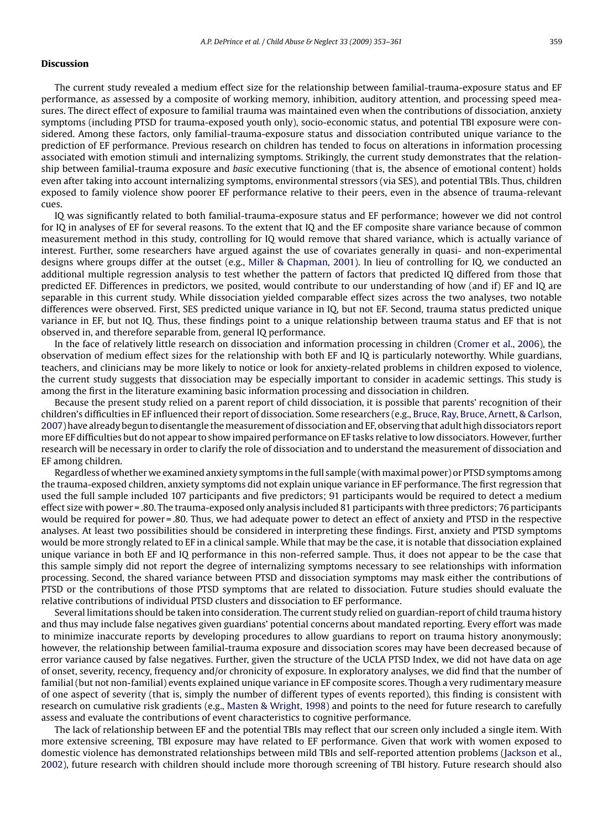## **Discussion**

The current study revealed a medium effect size for the relationship between familial-trauma-exposure status and EF performance, as assessed by a composite of working memory, inhibition, auditory attention, and processing speed measures. The direct effect of exposure to familial trauma was maintained even when the contributions of dissociation, anxiety symptoms (including PTSD for trauma-exposed youth only), socio-economic status, and potential TBI exposure were considered. Among these factors, only familial-trauma-exposure status and dissociation contributed unique variance to the prediction of EF performance. Previous research on children has tended to focus on alterations in information processing associated with emotion stimuli and internalizing symptoms. Strikingly, the current study demonstrates that the relationship between familial-trauma exposure and *basic* executive functioning (that is, the absence of emotional content) holds even after taking into account internalizing symptoms, environmental stressors (via SES), and potential TBIs. Thus, children exposed to family violence show poorer EF performance relative to their peers, even in the absence of trauma-relevant cues.

IQ was significantly related to both familial-trauma-exposure status and EF performance; however we did not control for IQ in analyses of EF for several reasons. To the extent that IQ and the EF composite share variance because of common measurement method in this study, controlling for IQ would remove that shared variance, which is actually variance of interest. Further, some researchers have argued against the use of covariates generally in quasi- and non-experimental designs where groups differ at the outset (e.g., [Miller & Chapman, 2001\).](#page-8-0) In lieu of controlling for IQ, we conducted an additional multiple regression analysis to test whether the pattern of factors that predicted IQ differed from those that predicted EF. Differences in predictors, we posited, would contribute to our understanding of how (and if) EF and IQ are separable in this current study. While dissociation yielded comparable effect sizes across the two analyses, two notable differences were observed. First, SES predicted unique variance in IQ, but not EF. Second, trauma status predicted unique variance in EF, but not IQ. Thus, these findings point to a unique relationship between trauma status and EF that is not observed in, and therefore separable from, general IQ performance.

In the face of relatively little research on dissociation and information processing in children ([Cromer et al., 2006\),](#page-7-0) the observation of medium effect sizes for the relationship with both EF and IQ is particularly noteworthy. While guardians, teachers, and clinicians may be more likely to notice or look for anxiety-related problems in children exposed to violence, the current study suggests that dissociation may be especially important to consider in academic settings. This study is among the first in the literature examining basic information processing and dissociation in children.

Because the present study relied on a parent report of child dissociation, it is possible that parents' recognition of their children's difficulties in EF influenced their report of dissociation. Some researchers (e.g., [Bruce, Ray, Bruce, Arnett, & Carlson,](#page-7-0) [2007\) h](#page-7-0)ave already begun to disentangle themeasurement of dissociation and EF, observing that adult high dissociators report more EF difficulties but do not appear to show impaired performance on EF tasks relative to low dissociators. However, further research will be necessary in order to clarify the role of dissociation and to understand the measurement of dissociation and EF among children.

Regardless of whether we examined anxiety symptoms in the full sample (withmaximal power) or PTSD symptoms among the trauma-exposed children, anxiety symptoms did not explain unique variance in EF performance. The first regression that used the full sample included 107 participants and five predictors; 91 participants would be required to detect a medium effect size with power = .80. The trauma-exposed only analysis included 81 participants with three predictors; 76 participants would be required for power = .80. Thus, we had adequate power to detect an effect of anxiety and PTSD in the respective analyses. At least two possibilities should be considered in interpreting these findings. First, anxiety and PTSD symptoms would be more strongly related to EF in a clinical sample. While that may be the case, it is notable that dissociation explained unique variance in both EF and IQ performance in this non-referred sample. Thus, it does not appear to be the case that this sample simply did not report the degree of internalizing symptoms necessary to see relationships with information processing. Second, the shared variance between PTSD and dissociation symptoms may mask either the contributions of PTSD or the contributions of those PTSD symptoms that are related to dissociation. Future studies should evaluate the relative contributions of individual PTSD clusters and dissociation to EF performance.

Several limitations should be taken into consideration. The current study relied on guardian-report of child trauma history and thus may include false negatives given guardians' potential concerns about mandated reporting. Every effort was made to minimize inaccurate reports by developing procedures to allow guardians to report on trauma history anonymously; however, the relationship between familial-trauma exposure and dissociation scores may have been decreased because of error variance caused by false negatives. Further, given the structure of the UCLA PTSD Index, we did not have data on age of onset, severity, recency, frequency and/or chronicity of exposure. In exploratory analyses, we did find that the number of familial (but not non-familial) events explained unique variance in EF composite scores. Though a very rudimentary measure of one aspect of severity (that is, simply the number of different types of events reported), this finding is consistent with research on cumulative risk gradients (e.g., [Masten & Wright, 1998\)](#page-8-0) and points to the need for future research to carefully assess and evaluate the contributions of event characteristics to cognitive performance.

The lack of relationship between EF and the potential TBIs may reflect that our screen only included a single item. With more extensive screening, TBI exposure may have related to EF performance. Given that work with women exposed to domestic violence has demonstrated relationships between mild TBIs and self-reported attention problems ([Jackson et al.,](#page-8-0) [2002\),](#page-8-0) future research with children should include more thorough screening of TBI history. Future research should also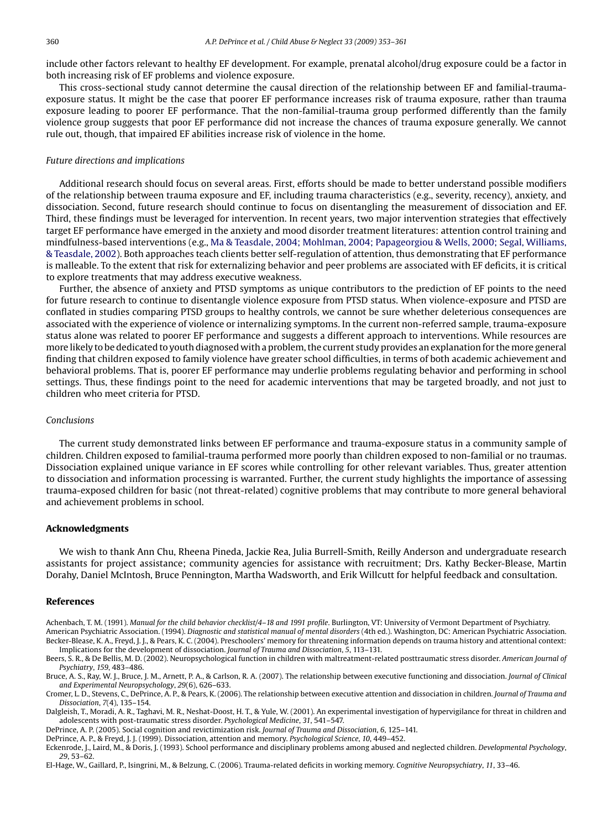<span id="page-7-0"></span>include other factors relevant to healthy EF development. For example, prenatal alcohol/drug exposure could be a factor in both increasing risk of EF problems and violence exposure.

This cross-sectional study cannot determine the causal direction of the relationship between EF and familial-traumaexposure status. It might be the case that poorer EF performance increases risk of trauma exposure, rather than trauma exposure leading to poorer EF performance. That the non-familial-trauma group performed differently than the family violence group suggests that poor EF performance did not increase the chances of trauma exposure generally. We cannot rule out, though, that impaired EF abilities increase risk of violence in the home.

## *Future directions and implications*

Additional research should focus on several areas. First, efforts should be made to better understand possible modifiers of the relationship between trauma exposure and EF, including trauma characteristics (e.g., severity, recency), anxiety, and dissociation. Second, future research should continue to focus on disentangling the measurement of dissociation and EF. Third, these findings must be leveraged for intervention. In recent years, two major intervention strategies that effectively target EF performance have emerged in the anxiety and mood disorder treatment literatures: attention control training and mindfulness-based interventions (e.g., [Ma & Teasdale, 2004; Mohlman, 2004; Papageorgiou & Wells, 2000; Segal, Williams,](#page-8-0) [& Teasdale, 2002\).](#page-8-0) Both approaches teach clients better self-regulation of attention, thus demonstrating that EF performance is malleable. To the extent that risk for externalizing behavior and peer problems are associated with EF deficits, it is critical to explore treatments that may address executive weakness.

Further, the absence of anxiety and PTSD symptoms as unique contributors to the prediction of EF points to the need for future research to continue to disentangle violence exposure from PTSD status. When violence-exposure and PTSD are conflated in studies comparing PTSD groups to healthy controls, we cannot be sure whether deleterious consequences are associated with the experience of violence or internalizing symptoms. In the current non-referred sample, trauma-exposure status alone was related to poorer EF performance and suggests a different approach to interventions. While resources are more likely to be dedicated to youth diagnosed with a problem, the current study provides an explanation for themore general finding that children exposed to family violence have greater school difficulties, in terms of both academic achievement and behavioral problems. That is, poorer EF performance may underlie problems regulating behavior and performing in school settings. Thus, these findings point to the need for academic interventions that may be targeted broadly, and not just to children who meet criteria for PTSD.

## *Conclusions*

The current study demonstrated links between EF performance and trauma-exposure status in a community sample of children. Children exposed to familial-trauma performed more poorly than children exposed to non-familial or no traumas. Dissociation explained unique variance in EF scores while controlling for other relevant variables. Thus, greater attention to dissociation and information processing is warranted. Further, the current study highlights the importance of assessing trauma-exposed children for basic (not threat-related) cognitive problems that may contribute to more general behavioral and achievement problems in school.

## **Acknowledgments**

We wish to thank Ann Chu, Rheena Pineda, Jackie Rea, Julia Burrell-Smith, Reilly Anderson and undergraduate research assistants for project assistance; community agencies for assistance with recruitment; Drs. Kathy Becker-Blease, Martin Dorahy, Daniel McIntosh, Bruce Pennington, Martha Wadsworth, and Erik Willcutt for helpful feedback and consultation.

#### **References**

Achenbach, T. M. (1991). *Manual for the child behavior checklist/4–18 and 1991 profile*. Burlington, VT: University of Vermont Department of Psychiatry. American Psychiatric Association. (1994). *Diagnostic and statistical manual of mental disorders* (4th ed.). Washington, DC: American Psychiatric Association. Becker-Blease, K. A., Freyd, J. J., & Pears, K. C. (2004). Preschoolers' memory for threatening information depends on trauma history and attentional context:

Implications for the development of dissociation. *Journal of Trauma and Dissociation*, *5*, 113–131. Beers, S. R., & De Bellis, M. D. (2002). Neuropsychological function in children with maltreatment-related posttraumatic stress disorder. *American Journal of*

*Psychiatry*, *159*, 483–486.

Bruce, A. S., Ray, W. J., Bruce, J. M., Arnett, P. A., & Carlson, R. A. (2007). The relationship between executive functioning and dissociation. *Journal of Clinical and Experimental Neuropsychology*, *29*(6), 626–633.

Cromer, L. D., Stevens, C., DePrince, A. P., & Pears, K. (2006). The relationship between executive attention and dissociation in children. *Journal of Trauma and Dissociation*, *7*(4), 135–154.

Dalgleish, T., Moradi, A. R., Taghavi, M. R., Neshat-Doost, H. T., & Yule, W. (2001). An experimental investigation of hypervigilance for threat in children and adolescents with post-traumatic stress disorder. *Psychological Medicine*, *31*, 541–547.

DePrince, A. P. (2005). Social cognition and revictimization risk. *Journal of Trauma and Dissociation*, *6*, 125–141.

DePrince, A. P., & Freyd, J. J. (1999). Dissociation, attention and memory. *Psychological Science*, *10*, 449–452.

Eckenrode, J., Laird, M., & Doris, J. (1993). School performance and disciplinary problems among abused and neglected children. *Developmental Psychology*, *29*, 53–62.

El-Hage, W., Gaillard, P., Isingrini, M., & Belzung, C. (2006). Trauma-related deficits in working memory. *Cognitive Neuropsychiatry*, *11*, 33–46.